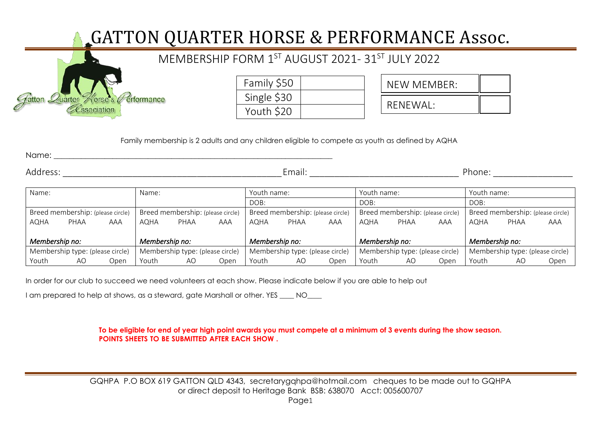## GATTON QUARTER HORSE & PERFORMANCE Assoc.

|                                    | MEMBERSHIP FORM 1ST AUGUST 2021-31ST JULY 2022 |          |
|------------------------------------|------------------------------------------------|----------|
|                                    | Family \$50                                    | NEW MEME |
| Gatton Quarter Rorse's Performance | Single \$30                                    |          |
| <i><u><b>Cssociation</b></u></i>   | Youth \$20                                     | RENEWAL: |

| Family \$50 |  |
|-------------|--|
| Single \$30 |  |
| Youth \$20  |  |

| NEW MEMBER:     |  |
|-----------------|--|
| <b>RENEWAL:</b> |  |

Family membership is 2 adults and any children eligible to compete as youth as defined by AQHA

Name: \_\_\_\_\_\_\_\_\_\_\_\_\_\_\_\_\_\_\_\_\_\_\_\_\_\_\_\_\_\_\_\_\_\_\_\_\_\_\_\_\_\_\_\_\_\_\_\_\_\_\_\_\_\_\_\_\_\_\_\_\_\_\_\_\_\_\_\_\_\_\_

Address: \_\_\_\_\_\_\_\_\_\_\_\_\_\_\_\_\_\_\_\_\_\_\_\_\_\_\_\_\_\_\_\_\_\_\_\_\_\_\_\_\_\_\_\_Email: \_\_\_\_\_\_\_\_\_\_\_\_\_\_\_\_\_\_\_\_\_\_\_\_\_\_\_\_\_\_ Phone: \_\_\_\_\_\_\_\_\_\_\_\_\_\_\_\_

| Name:                            |                                   |                | Name: |                                   | Youth name: |                | Youth name:                       |      |                                   | Youth name:                      |                                   |       |      |      |
|----------------------------------|-----------------------------------|----------------|-------|-----------------------------------|-------------|----------------|-----------------------------------|------|-----------------------------------|----------------------------------|-----------------------------------|-------|------|------|
|                                  |                                   |                |       |                                   |             | DOB:           |                                   |      | DOB:                              |                                  |                                   | DOB:  |      |      |
|                                  | Breed membership: (please circle) |                |       | Breed membership: (please circle) |             |                | Breed membership: (please circle) |      | Breed membership: (please circle) |                                  | Breed membership: (please circle) |       |      |      |
| <b>AQHA</b>                      | PHAA                              | AAA            | AQHA  | PHAA                              | AAA         | <b>AQHA</b>    | PHAA                              | AAA  | AQHA                              | PHAA                             | AAA                               | AQHA  | PHAA | AAA  |
|                                  |                                   |                |       |                                   |             |                |                                   |      |                                   |                                  |                                   |       |      |      |
| Membership no:<br>Membership no: |                                   | Membership no: |       | Membership no:                    |             | Membership no: |                                   |      |                                   |                                  |                                   |       |      |      |
|                                  | Membership type: (please circle)  |                |       | Membership type: (please circle)  |             |                | Membership type: (please circle)  |      |                                   | Membership type: (please circle) | Membership type: (please circle)  |       |      |      |
| Youth                            | AO                                | Open           | Youth | AΟ                                | Open        | Youth          | AΟ                                | Open | Youth                             | AO                               | Open                              | Youth | AO   | Open |

In order for our club to succeed we need volunteers at each show. Please indicate below if you are able to help out

I am prepared to help at shows, as a steward, gate Marshall or other. YES \_\_\_\_ NO\_\_\_\_

## **To be eligible for end of year high point awards you must compete at a minimum of 3 events during the show season. POINTS SHEETS TO BE SUBMITTED AFTER EACH SHOW .**